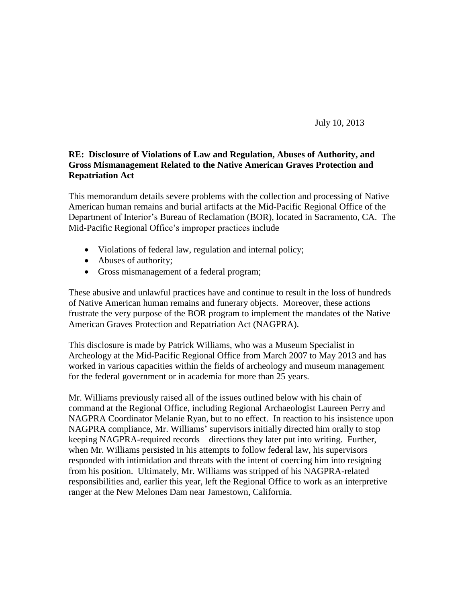July 10, 2013

### **RE: Disclosure of Violations of Law and Regulation, Abuses of Authority, and Gross Mismanagement Related to the Native American Graves Protection and Repatriation Act**

This memorandum details severe problems with the collection and processing of Native American human remains and burial artifacts at the Mid-Pacific Regional Office of the Department of Interior's Bureau of Reclamation (BOR), located in Sacramento, CA. The Mid-Pacific Regional Office's improper practices include

- Violations of federal law, regulation and internal policy;
- Abuses of authority;
- Gross mismanagement of a federal program;

These abusive and unlawful practices have and continue to result in the loss of hundreds of Native American human remains and funerary objects. Moreover, these actions frustrate the very purpose of the BOR program to implement the mandates of the Native American Graves Protection and Repatriation Act (NAGPRA).

This disclosure is made by Patrick Williams, who was a Museum Specialist in Archeology at the Mid-Pacific Regional Office from March 2007 to May 2013 and has worked in various capacities within the fields of archeology and museum management for the federal government or in academia for more than 25 years.

Mr. Williams previously raised all of the issues outlined below with his chain of command at the Regional Office, including Regional Archaeologist Laureen Perry and NAGPRA Coordinator Melanie Ryan, but to no effect. In reaction to his insistence upon NAGPRA compliance, Mr. Williams' supervisors initially directed him orally to stop keeping NAGPRA-required records – directions they later put into writing. Further, when Mr. Williams persisted in his attempts to follow federal law, his supervisors responded with intimidation and threats with the intent of coercing him into resigning from his position. Ultimately, Mr. Williams was stripped of his NAGPRA-related responsibilities and, earlier this year, left the Regional Office to work as an interpretive ranger at the New Melones Dam near Jamestown, California.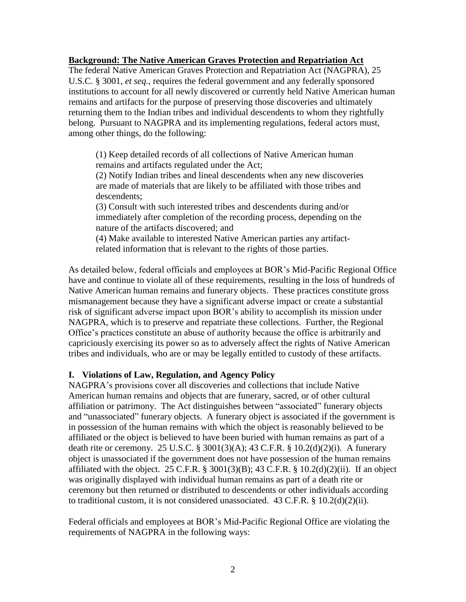#### **Background: The Native American Graves Protection and Repatriation Act**

The federal Native American Graves Protection and Repatriation Act (NAGPRA), 25 U.S.C. § 3001, *et seq.*, requires the federal government and any federally sponsored institutions to account for all newly discovered or currently held Native American human remains and artifacts for the purpose of preserving those discoveries and ultimately returning them to the Indian tribes and individual descendents to whom they rightfully belong. Pursuant to NAGPRA and its implementing regulations, federal actors must, among other things, do the following:

(1) Keep detailed records of all collections of Native American human remains and artifacts regulated under the Act;

(2) Notify Indian tribes and lineal descendents when any new discoveries are made of materials that are likely to be affiliated with those tribes and descendents;

(3) Consult with such interested tribes and descendents during and/or immediately after completion of the recording process, depending on the nature of the artifacts discovered; and

(4) Make available to interested Native American parties any artifactrelated information that is relevant to the rights of those parties.

As detailed below, federal officials and employees at BOR's Mid-Pacific Regional Office have and continue to violate all of these requirements, resulting in the loss of hundreds of Native American human remains and funerary objects. These practices constitute gross mismanagement because they have a significant adverse impact or create a substantial risk of significant adverse impact upon BOR's ability to accomplish its mission under NAGPRA, which is to preserve and repatriate these collections. Further, the Regional Office's practices constitute an abuse of authority because the office is arbitrarily and capriciously exercising its power so as to adversely affect the rights of Native American tribes and individuals, who are or may be legally entitled to custody of these artifacts.

# **I. Violations of Law, Regulation, and Agency Policy**

NAGPRA's provisions cover all discoveries and collections that include Native American human remains and objects that are funerary, sacred, or of other cultural affiliation or patrimony. The Act distinguishes between "associated" funerary objects and "unassociated" funerary objects. A funerary object is associated if the government is in possession of the human remains with which the object is reasonably believed to be affiliated or the object is believed to have been buried with human remains as part of a death rite or ceremony. 25 U.S.C. § 3001(3)(A); 43 C.F.R. § 10.2(d)(2)(i). A funerary object is unassociated if the government does not have possession of the human remains affiliated with the object. 25 C.F.R. § 3001(3)(B); 43 C.F.R. § 10.2(d)(2)(ii). If an object was originally displayed with individual human remains as part of a death rite or ceremony but then returned or distributed to descendents or other individuals according to traditional custom, it is not considered unassociated. 43 C.F.R. § 10.2(d)(2)(ii).

Federal officials and employees at BOR's Mid-Pacific Regional Office are violating the requirements of NAGPRA in the following ways: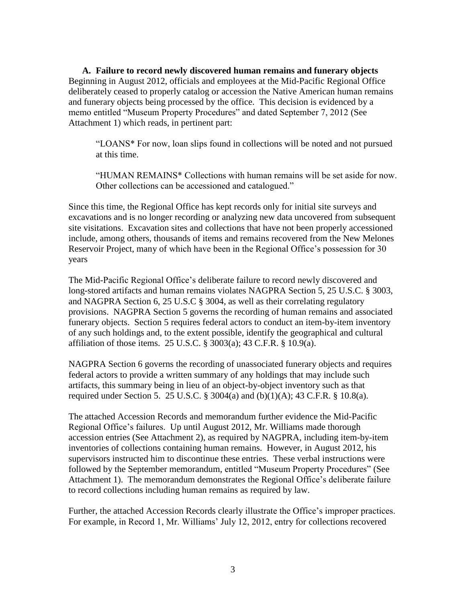**A. Failure to record newly discovered human remains and funerary objects** Beginning in August 2012, officials and employees at the Mid-Pacific Regional Office deliberately ceased to properly catalog or accession the Native American human remains and funerary objects being processed by the office. This decision is evidenced by a memo entitled "Museum Property Procedures" and dated September 7, 2012 (See Attachment 1) which reads, in pertinent part:

"LOANS\* For now, loan slips found in collections will be noted and not pursued at this time.

"HUMAN REMAINS\* Collections with human remains will be set aside for now. Other collections can be accessioned and catalogued."

Since this time, the Regional Office has kept records only for initial site surveys and excavations and is no longer recording or analyzing new data uncovered from subsequent site visitations. Excavation sites and collections that have not been properly accessioned include, among others, thousands of items and remains recovered from the New Melones Reservoir Project, many of which have been in the Regional Office's possession for 30 years

The Mid-Pacific Regional Office's deliberate failure to record newly discovered and long-stored artifacts and human remains violates NAGPRA Section 5, 25 U.S.C. § 3003, and NAGPRA Section 6, 25 U.S.C § 3004, as well as their correlating regulatory provisions. NAGPRA Section 5 governs the recording of human remains and associated funerary objects. Section 5 requires federal actors to conduct an item-by-item inventory of any such holdings and, to the extent possible, identify the geographical and cultural affiliation of those items. 25 U.S.C. § 3003(a); 43 C.F.R. § 10.9(a).

NAGPRA Section 6 governs the recording of unassociated funerary objects and requires federal actors to provide a written summary of any holdings that may include such artifacts, this summary being in lieu of an object-by-object inventory such as that required under Section 5. 25 U.S.C. § 3004(a) and  $(b)(1)(A)$ ; 43 C.F.R. § 10.8(a).

The attached Accession Records and memorandum further evidence the Mid-Pacific Regional Office's failures. Up until August 2012, Mr. Williams made thorough accession entries (See Attachment 2), as required by NAGPRA, including item-by-item inventories of collections containing human remains. However, in August 2012, his supervisors instructed him to discontinue these entries. These verbal instructions were followed by the September memorandum, entitled "Museum Property Procedures" (See Attachment 1). The memorandum demonstrates the Regional Office's deliberate failure to record collections including human remains as required by law.

Further, the attached Accession Records clearly illustrate the Office's improper practices. For example, in Record 1, Mr. Williams' July 12, 2012, entry for collections recovered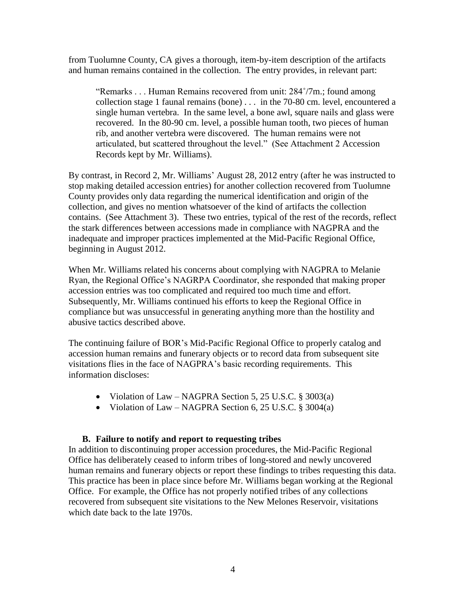from Tuolumne County, CA gives a thorough, item-by-item description of the artifacts and human remains contained in the collection. The entry provides, in relevant part:

"Remarks . . . Human Remains recovered from unit: 284˚/7m.; found among collection stage 1 faunal remains (bone) . . . in the 70-80 cm. level, encountered a single human vertebra. In the same level, a bone awl, square nails and glass were recovered. In the 80-90 cm. level, a possible human tooth, two pieces of human rib, and another vertebra were discovered. The human remains were not articulated, but scattered throughout the level." (See Attachment 2 Accession Records kept by Mr. Williams).

By contrast, in Record 2, Mr. Williams' August 28, 2012 entry (after he was instructed to stop making detailed accession entries) for another collection recovered from Tuolumne County provides only data regarding the numerical identification and origin of the collection, and gives no mention whatsoever of the kind of artifacts the collection contains. (See Attachment 3). These two entries, typical of the rest of the records, reflect the stark differences between accessions made in compliance with NAGPRA and the inadequate and improper practices implemented at the Mid-Pacific Regional Office, beginning in August 2012.

When Mr. Williams related his concerns about complying with NAGPRA to Melanie Ryan, the Regional Office's NAGRPA Coordinator, she responded that making proper accession entries was too complicated and required too much time and effort. Subsequently, Mr. Williams continued his efforts to keep the Regional Office in compliance but was unsuccessful in generating anything more than the hostility and abusive tactics described above.

The continuing failure of BOR's Mid-Pacific Regional Office to properly catalog and accession human remains and funerary objects or to record data from subsequent site visitations flies in the face of NAGPRA's basic recording requirements. This information discloses:

- Violation of Law NAGPRA Section 5, 25 U.S.C. § 3003(a)
- Violation of Law NAGPRA Section 6, 25 U.S.C. § 3004(a)

# **B. Failure to notify and report to requesting tribes**

In addition to discontinuing proper accession procedures, the Mid-Pacific Regional Office has deliberately ceased to inform tribes of long-stored and newly uncovered human remains and funerary objects or report these findings to tribes requesting this data. This practice has been in place since before Mr. Williams began working at the Regional Office. For example, the Office has not properly notified tribes of any collections recovered from subsequent site visitations to the New Melones Reservoir, visitations which date back to the late 1970s.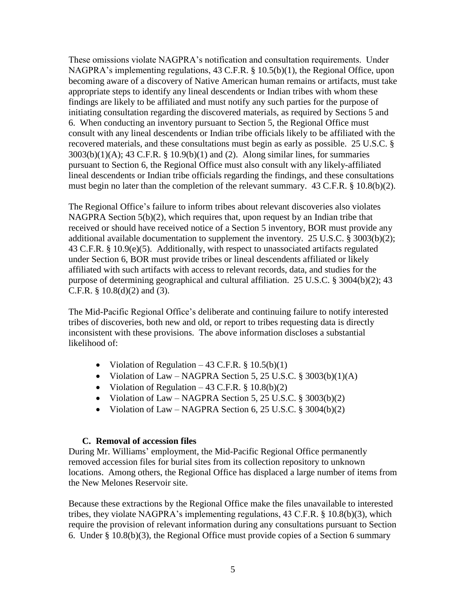These omissions violate NAGPRA's notification and consultation requirements. Under NAGPRA's implementing regulations, 43 C.F.R. § 10.5(b)(1), the Regional Office, upon becoming aware of a discovery of Native American human remains or artifacts, must take appropriate steps to identify any lineal descendents or Indian tribes with whom these findings are likely to be affiliated and must notify any such parties for the purpose of initiating consultation regarding the discovered materials, as required by Sections 5 and 6. When conducting an inventory pursuant to Section 5, the Regional Office must consult with any lineal descendents or Indian tribe officials likely to be affiliated with the recovered materials, and these consultations must begin as early as possible. 25 U.S.C. § 3003(b)(1)(A); 43 C.F.R. § 10.9(b)(1) and (2). Along similar lines, for summaries pursuant to Section 6, the Regional Office must also consult with any likely-affiliated lineal descendents or Indian tribe officials regarding the findings, and these consultations must begin no later than the completion of the relevant summary. 43 C.F.R. § 10.8(b)(2).

The Regional Office's failure to inform tribes about relevant discoveries also violates NAGPRA Section 5(b)(2), which requires that, upon request by an Indian tribe that received or should have received notice of a Section 5 inventory, BOR must provide any additional available documentation to supplement the inventory. 25 U.S.C. § 3003(b)(2); 43 C.F.R. § 10.9(e)(5). Additionally, with respect to unassociated artifacts regulated under Section 6, BOR must provide tribes or lineal descendents affiliated or likely affiliated with such artifacts with access to relevant records, data, and studies for the purpose of determining geographical and cultural affiliation. 25 U.S.C. § 3004(b)(2); 43 C.F.R. §  $10.8(d)(2)$  and  $(3)$ .

The Mid-Pacific Regional Office's deliberate and continuing failure to notify interested tribes of discoveries, both new and old, or report to tribes requesting data is directly inconsistent with these provisions. The above information discloses a substantial likelihood of:

- Violation of Regulation  $-43$  C.F.R. § 10.5(b)(1)
- Violation of Law NAGPRA Section 5, 25 U.S.C.  $\S 3003(b)(1)(A)$
- Violation of Regulation 43 C.F.R.  $\S$  10.8(b)(2)
- Violation of Law NAGPRA Section 5, 25 U.S.C.  $\S$  3003(b)(2)
- Violation of Law NAGPRA Section 6, 25 U.S.C.  $\S$  3004(b)(2)

# **C. Removal of accession files**

During Mr. Williams' employment, the Mid-Pacific Regional Office permanently removed accession files for burial sites from its collection repository to unknown locations. Among others, the Regional Office has displaced a large number of items from the New Melones Reservoir site.

Because these extractions by the Regional Office make the files unavailable to interested tribes, they violate NAGPRA's implementing regulations, 43 C.F.R. § 10.8(b)(3), which require the provision of relevant information during any consultations pursuant to Section 6. Under § 10.8(b)(3), the Regional Office must provide copies of a Section 6 summary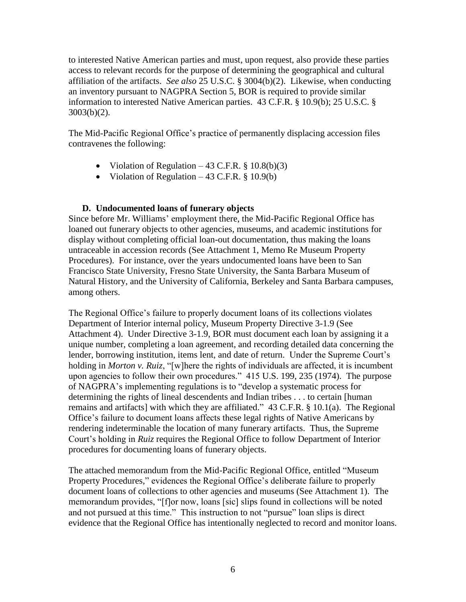to interested Native American parties and must, upon request, also provide these parties access to relevant records for the purpose of determining the geographical and cultural affiliation of the artifacts. *See also* 25 U.S.C. § 3004(b)(2). Likewise, when conducting an inventory pursuant to NAGPRA Section 5, BOR is required to provide similar information to interested Native American parties. 43 C.F.R. § 10.9(b); 25 U.S.C. § 3003(b)(2).

The Mid-Pacific Regional Office's practice of permanently displacing accession files contravenes the following:

- Violation of Regulation  $-43$  C.F.R. § 10.8(b)(3)
- Violation of Regulation  $-43$  C.F.R. § 10.9(b)

#### **D. Undocumented loans of funerary objects**

Since before Mr. Williams' employment there, the Mid-Pacific Regional Office has loaned out funerary objects to other agencies, museums, and academic institutions for display without completing official loan-out documentation, thus making the loans untraceable in accession records (See Attachment 1, Memo Re Museum Property Procedures). For instance, over the years undocumented loans have been to San Francisco State University, Fresno State University, the Santa Barbara Museum of Natural History, and the University of California, Berkeley and Santa Barbara campuses, among others.

The Regional Office's failure to properly document loans of its collections violates Department of Interior internal policy, Museum Property Directive 3-1.9 (See Attachment 4). Under Directive 3-1.9, BOR must document each loan by assigning it a unique number, completing a loan agreement, and recording detailed data concerning the lender, borrowing institution, items lent, and date of return. Under the Supreme Court's holding in *Morton v. Ruiz*, "[w]here the rights of individuals are affected, it is incumbent upon agencies to follow their own procedures." 415 U.S. 199, 235 (1974). The purpose of NAGPRA's implementing regulations is to "develop a systematic process for determining the rights of lineal descendents and Indian tribes . . . to certain [human remains and artifacts] with which they are affiliated." 43 C.F.R. § 10.1(a). The Regional Office's failure to document loans affects these legal rights of Native Americans by rendering indeterminable the location of many funerary artifacts. Thus, the Supreme Court's holding in *Ruiz* requires the Regional Office to follow Department of Interior procedures for documenting loans of funerary objects.

The attached memorandum from the Mid-Pacific Regional Office, entitled "Museum Property Procedures," evidences the Regional Office's deliberate failure to properly document loans of collections to other agencies and museums (See Attachment 1). The memorandum provides, "[f]or now, loans [sic] slips found in collections will be noted and not pursued at this time." This instruction to not "pursue" loan slips is direct evidence that the Regional Office has intentionally neglected to record and monitor loans.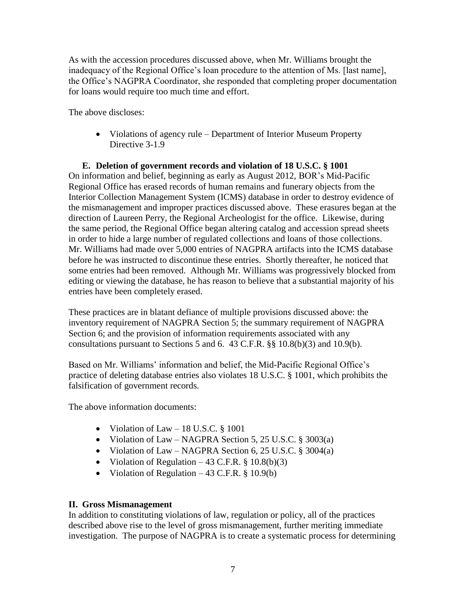As with the accession procedures discussed above, when Mr. Williams brought the inadequacy of the Regional Office's loan procedure to the attention of Ms. [last name], the Office's NAGPRA Coordinator, she responded that completing proper documentation for loans would require too much time and effort.

The above discloses:

• Violations of agency rule – Department of Interior Museum Property Directive 3-1.9

### **E. Deletion of government records and violation of 18 U.S.C. § 1001** On information and belief, beginning as early as August 2012, BOR's Mid-Pacific Regional Office has erased records of human remains and funerary objects from the Interior Collection Management System (ICMS) database in order to destroy evidence of the mismanagement and improper practices discussed above. These erasures began at the direction of Laureen Perry, the Regional Archeologist for the office. Likewise, during the same period, the Regional Office began altering catalog and accession spread sheets in order to hide a large number of regulated collections and loans of those collections. Mr. Williams had made over 5,000 entries of NAGPRA artifacts into the ICMS database before he was instructed to discontinue these entries. Shortly thereafter, he noticed that some entries had been removed. Although Mr. Williams was progressively blocked from editing or viewing the database, he has reason to believe that a substantial majority of his entries have been completely erased.

These practices are in blatant defiance of multiple provisions discussed above: the inventory requirement of NAGPRA Section 5; the summary requirement of NAGPRA Section 6; and the provision of information requirements associated with any consultations pursuant to Sections 5 and 6. 43 C.F.R. §§ 10.8(b)(3) and 10.9(b).

Based on Mr. Williams' information and belief, the Mid-Pacific Regional Office's practice of deleting database entries also violates 18 U.S.C. § 1001, which prohibits the falsification of government records.

The above information documents:

- Violation of Law 18 U.S.C.  $§$  1001
- Violation of Law NAGPRA Section 5, 25 U.S.C. § 3003(a)
- Violation of Law NAGPRA Section 6, 25 U.S.C.  $\S$  3004(a)
- Violation of Regulation 43 C.F.R.  $\S$  10.8(b)(3)
- Violation of Regulation  $-43$  C.F.R. § 10.9(b)

# **II. Gross Mismanagement**

In addition to constituting violations of law, regulation or policy, all of the practices described above rise to the level of gross mismanagement, further meriting immediate investigation. The purpose of NAGPRA is to create a systematic process for determining